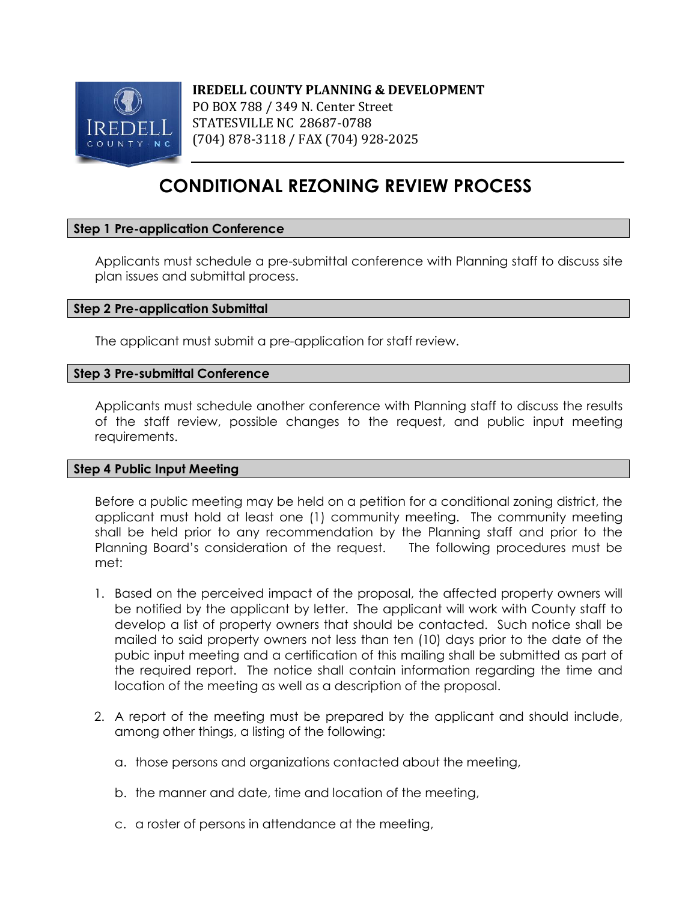

# **CONDITIONAL REZONING REVIEW PROCESS**

## **Step 1 Pre-application Conference**

Applicants must schedule a pre-submittal conference with Planning staff to discuss site plan issues and submittal process.

## **Step 2 Pre-application Submittal**

The applicant must submit a pre-application for staff review.

#### **Step 3 Pre-submittal Conference**

Applicants must schedule another conference with Planning staff to discuss the results of the staff review, possible changes to the request, and public input meeting requirements.

#### **Step 4 Public Input Meeting**

Before a public meeting may be held on a petition for a conditional zoning district, the applicant must hold at least one (1) community meeting. The community meeting shall be held prior to any recommendation by the Planning staff and prior to the Planning Board's consideration of the request. The following procedures must be met:

- 1. Based on the perceived impact of the proposal, the affected property owners will be notified by the applicant by letter. The applicant will work with County staff to develop a list of property owners that should be contacted. Such notice shall be mailed to said property owners not less than ten (10) days prior to the date of the pubic input meeting and a certification of this mailing shall be submitted as part of the required report. The notice shall contain information regarding the time and location of the meeting as well as a description of the proposal.
- 2. A report of the meeting must be prepared by the applicant and should include, among other things, a listing of the following:
	- a. those persons and organizations contacted about the meeting,
	- b. the manner and date, time and location of the meeting,
	- c. a roster of persons in attendance at the meeting,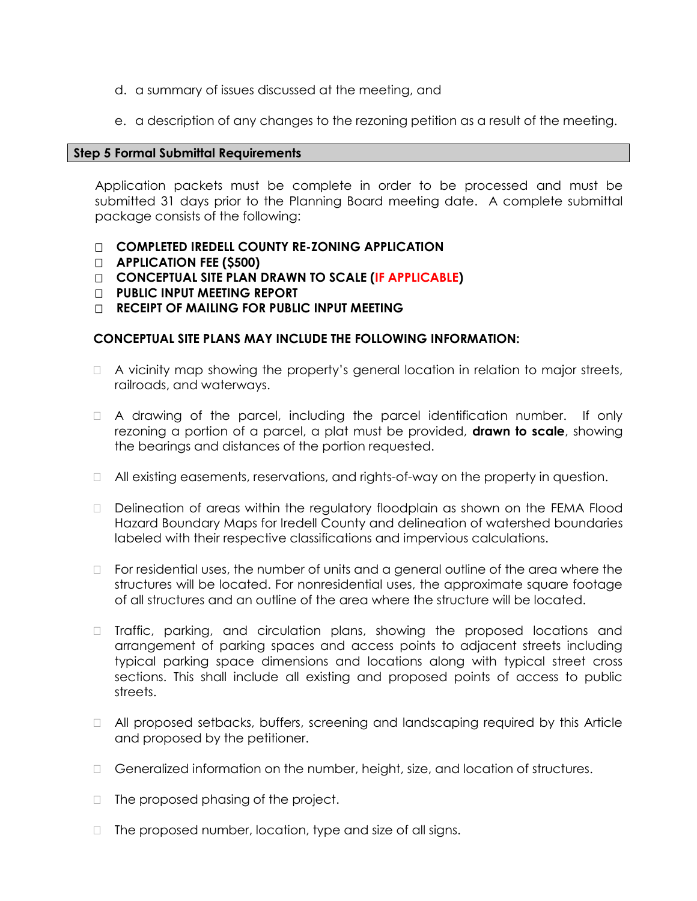- d. a summary of issues discussed at the meeting, and
- e. a description of any changes to the rezoning petition as a result of the meeting.

#### **Step 5 Formal Submittal Requirements**

Application packets must be complete in order to be processed and must be submitted 31 days prior to the Planning Board meeting date. A complete submittal package consists of the following:

- **COMPLETED IREDELL COUNTY RE-ZONING APPLICATION**
- **APPLICATION FEE (\$500)**
- **CONCEPTUAL SITE PLAN DRAWN TO SCALE (IF APPLICABLE)**
- **PUBLIC INPUT MEETING REPORT**
- **RECEIPT OF MAILING FOR PUBLIC INPUT MEETING**

## **CONCEPTUAL SITE PLANS MAY INCLUDE THE FOLLOWING INFORMATION:**

- $\Box$  A vicinity map showing the property's general location in relation to major streets, railroads, and waterways.
- $\Box$  A drawing of the parcel, including the parcel identification number. If only rezoning a portion of a parcel, a plat must be provided, **drawn to scale**, showing the bearings and distances of the portion requested.
- $\Box$  All existing easements, reservations, and rights-of-way on the property in question.
- Delineation of areas within the regulatory floodplain as shown on the FEMA Flood Hazard Boundary Maps for Iredell County and delineation of watershed boundaries labeled with their respective classifications and impervious calculations.
- $\Box$  For residential uses, the number of units and a general outline of the area where the structures will be located. For nonresidential uses, the approximate square footage of all structures and an outline of the area where the structure will be located.
- □ Traffic, parking, and circulation plans, showing the proposed locations and arrangement of parking spaces and access points to adjacent streets including typical parking space dimensions and locations along with typical street cross sections. This shall include all existing and proposed points of access to public streets.
- □ All proposed setbacks, buffers, screening and landscaping required by this Article and proposed by the petitioner.
- Generalized information on the number, height, size, and location of structures.
- $\Box$  The proposed phasing of the project.
- $\Box$  The proposed number, location, type and size of all signs.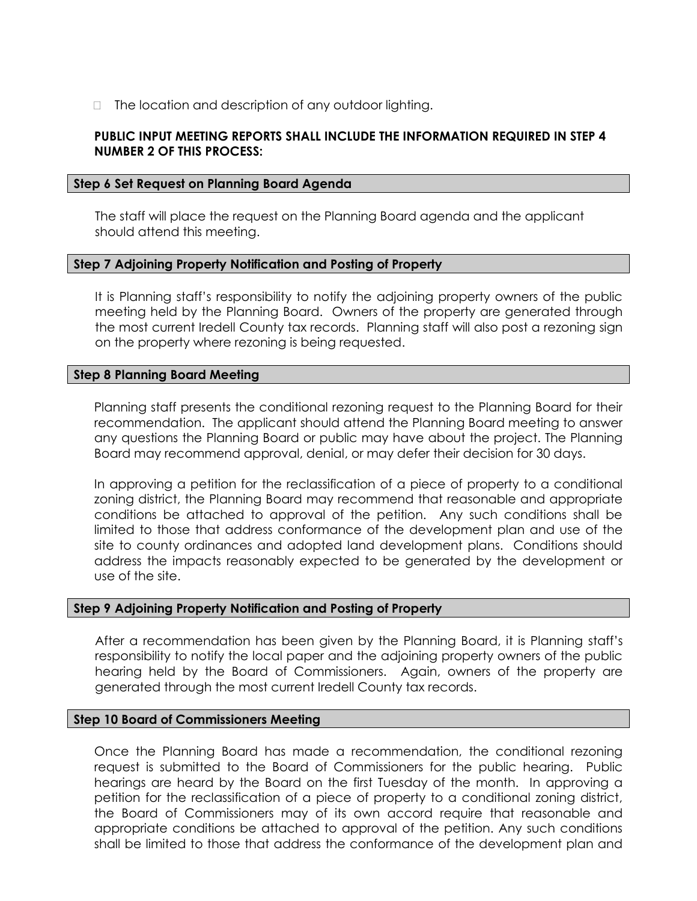$\Box$  The location and description of any outdoor lighting.

## **PUBLIC INPUT MEETING REPORTS SHALL INCLUDE THE INFORMATION REQUIRED IN STEP 4 NUMBER 2 OF THIS PROCESS:**

#### **Step 6 Set Request on Planning Board Agenda**

The staff will place the request on the Planning Board agenda and the applicant should attend this meeting.

#### **Step 7 Adjoining Property Notification and Posting of Property**

It is Planning staff's responsibility to notify the adjoining property owners of the public meeting held by the Planning Board. Owners of the property are generated through the most current Iredell County tax records. Planning staff will also post a rezoning sign on the property where rezoning is being requested.

#### **Step 8 Planning Board Meeting**

Planning staff presents the conditional rezoning request to the Planning Board for their recommendation. The applicant should attend the Planning Board meeting to answer any questions the Planning Board or public may have about the project. The Planning Board may recommend approval, denial, or may defer their decision for 30 days.

In approving a petition for the reclassification of a piece of property to a conditional zoning district, the Planning Board may recommend that reasonable and appropriate conditions be attached to approval of the petition. Any such conditions shall be limited to those that address conformance of the development plan and use of the site to county ordinances and adopted land development plans. Conditions should address the impacts reasonably expected to be generated by the development or use of the site.

#### **Step 9 Adjoining Property Notification and Posting of Property**

After a recommendation has been given by the Planning Board, it is Planning staff's responsibility to notify the local paper and the adjoining property owners of the public hearing held by the Board of Commissioners. Again, owners of the property are generated through the most current Iredell County tax records.

#### **Step 10 Board of Commissioners Meeting**

Once the Planning Board has made a recommendation, the conditional rezoning request is submitted to the Board of Commissioners for the public hearing. Public hearings are heard by the Board on the first Tuesday of the month. In approving a petition for the reclassification of a piece of property to a conditional zoning district, the Board of Commissioners may of its own accord require that reasonable and appropriate conditions be attached to approval of the petition. Any such conditions shall be limited to those that address the conformance of the development plan and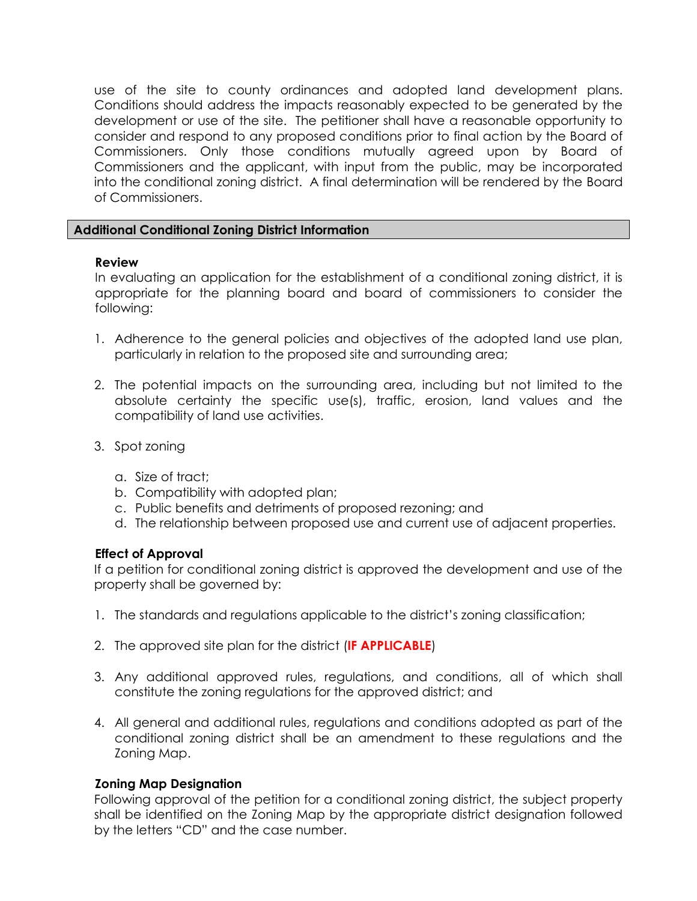use of the site to county ordinances and adopted land development plans. Conditions should address the impacts reasonably expected to be generated by the development or use of the site. The petitioner shall have a reasonable opportunity to consider and respond to any proposed conditions prior to final action by the Board of Commissioners. Only those conditions mutually agreed upon by Board of Commissioners and the applicant, with input from the public, may be incorporated into the conditional zoning district. A final determination will be rendered by the Board of Commissioners.

## **Additional Conditional Zoning District Information**

## **Review**

In evaluating an application for the establishment of a conditional zoning district, it is appropriate for the planning board and board of commissioners to consider the following:

- 1. Adherence to the general policies and objectives of the adopted land use plan, particularly in relation to the proposed site and surrounding area;
- 2. The potential impacts on the surrounding area, including but not limited to the absolute certainty the specific use(s), traffic, erosion, land values and the compatibility of land use activities.
- 3. Spot zoning
	- a. Size of tract;
	- b. Compatibility with adopted plan;
	- c. Public benefits and detriments of proposed rezoning; and
	- d. The relationship between proposed use and current use of adjacent properties.

## **Effect of Approval**

If a petition for conditional zoning district is approved the development and use of the property shall be governed by:

- 1. The standards and regulations applicable to the district's zoning classification;
- 2. The approved site plan for the district (**IF APPLICABLE**)
- 3. Any additional approved rules, regulations, and conditions, all of which shall constitute the zoning regulations for the approved district; and
- 4. All general and additional rules, regulations and conditions adopted as part of the conditional zoning district shall be an amendment to these regulations and the Zoning Map.

## **Zoning Map Designation**

Following approval of the petition for a conditional zoning district, the subject property shall be identified on the Zoning Map by the appropriate district designation followed by the letters "CD" and the case number.